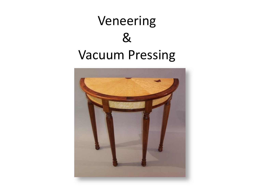

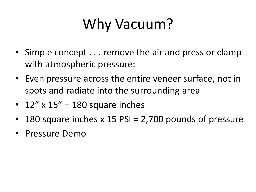# Why Vacuum?

- Simple concept . . . remove the air and press or clamp with atmospheric pressure:
- Even pressure across the entire veneer surface, not in spots and radiate into the surrounding area
- 12"  $\times$  15" = 180 square inches
- 180 square inches  $x$  15 PSI = 2,700 pounds of pressure
- Pressure Demo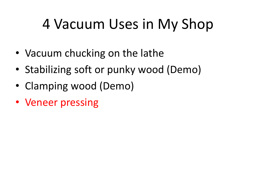## 4 Vacuum Uses in My Shop

- Vacuum chucking on the lathe
- Stabilizing soft or punky wood (Demo)
- Clamping wood (Demo)
- Veneer pressing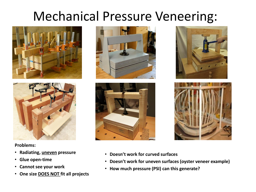## Mechanical Pressure Veneering:





**Problems:**

- **Radiating, uneven pressure**
- **Glue open-time**
- **Cannot see your work**
- **One size DOES NOT fit all projects**









- **Doesn't work for curved surfaces**
- **Doesn't work for uneven surfaces (oyster veneer example)**
- **How much pressure (PSI) can this generate?**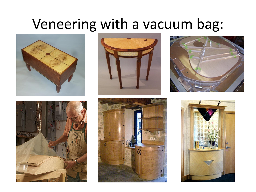## Veneering with a vacuum bag:











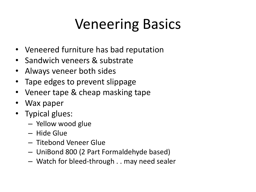## Veneering Basics

- Veneered furniture has bad reputation
- Sandwich veneers & substrate
- Always veneer both sides
- Tape edges to prevent slippage
- Veneer tape & cheap masking tape
- Wax paper
- Typical glues:
	- Yellow wood glue
	- Hide Glue
	- Titebond Veneer Glue
	- UniBond 800 (2 Part Formaldehyde based)
	- Watch for bleed-through . . may need sealer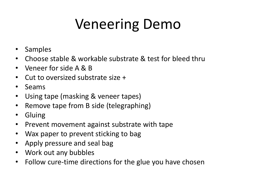## Veneering Demo

- **Samples**
- Choose stable & workable substrate & test for bleed thru
- Veneer for side A & B
- Cut to oversized substrate size +
- Seams
- Using tape (masking & veneer tapes)
- Remove tape from B side (telegraphing)
- Gluing
- Prevent movement against substrate with tape
- Wax paper to prevent sticking to bag
- Apply pressure and seal bag
- Work out any bubbles
- Follow cure-time directions for the glue you have chosen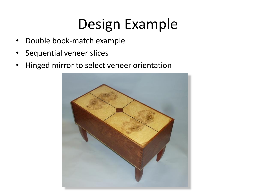## Design Example

- Double book-match example
- Sequential veneer slices
- Hinged mirror to select veneer orientation

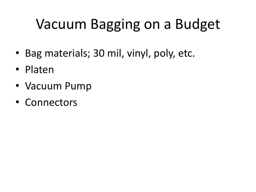## Vacuum Bagging on a Budget

- Bag materials; 30 mil, vinyl, poly, etc.
- Platen
- Vacuum Pump
- Connectors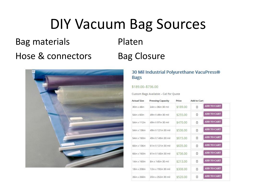## DIY Vacuum Bag Sources

Bag materials **Platen** 

## Hose & connectors Bag Closure



## 30 Mil Industrial Polyurethane VacuPress® **Bags**

## \$189.00-\$736.00

Custom Bags Available - Call for Quote

| Actual Size           | <b>Pressing Capacity</b> | Price    | Add to Cart                    |
|-----------------------|--------------------------|----------|--------------------------------|
| $30$ in $\times$ 48in | 24in x 36in 30 mil       | \$189.00 | <b>ADD TO CART</b><br>0        |
| $54$ in $\times$ 60in | 49in X 49in 30 mil       | \$255,00 | <b>ADD TO CART</b><br>$\Omega$ |
| 54in x 112in          | 49in X 97in 30 mil       | \$470.00 | <b>ADD TO CART</b><br>0        |
| 54in x 136in          | 49in X 121in 30 mil      | \$536.00 | ADD TO CART<br>0               |
| 54in x 160in          | 49in X 145in 30 mil      | \$615.00 | <b>ADD TO CART</b><br>$\circ$  |
| 66in x 136in          | 61in X 121in 30 mil      | \$635.00 | ADD TO CART<br>0               |
| 66in x 160in          | 61in X 145in 30 mil      | \$736.00 | ADD TO CART<br>$\circ$         |
| 14in x 160in          | 8in x 145in 30 mil       | \$213.00 | <b>ADD TO CART</b><br>0        |
| 18in x 208in          | 12in x 192in 30 mil      | \$308.00 | ADD TO CART<br>$\Omega$        |
| 26in x 268in          | 20in x 252in 30 mil      | \$520.00 | ADD TO CART<br>$\mathbf{0}$    |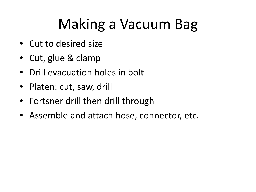# Making a Vacuum Bag

- Cut to desired size
- Cut, glue & clamp
- Drill evacuation holes in bolt
- Platen: cut, saw, drill
- Fortsner drill then drill through
- Assemble and attach hose, connector, etc.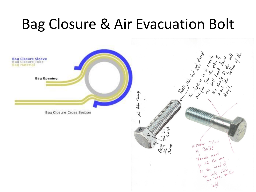## Bag Closure & Air Evacuation Bolt

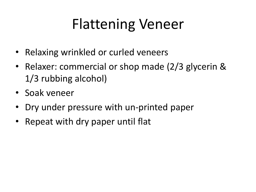## Flattening Veneer

- Relaxing wrinkled or curled veneers
- Relaxer: commercial or shop made (2/3 glycerin & 1/3 rubbing alcohol)
- Soak veneer
- Dry under pressure with un-printed paper
- Repeat with dry paper until flat